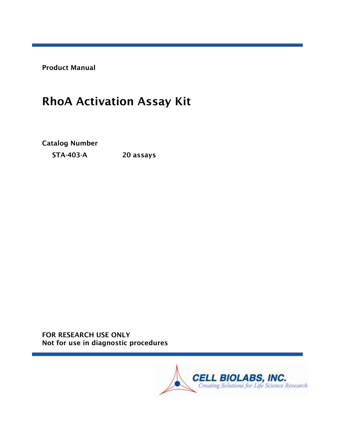Product Manual

# RhoA Activation Assay Kit

Catalog Number

STA-403-A 20 assays

FOR RESEARCH USE ONLY Not for use in diagnostic procedures

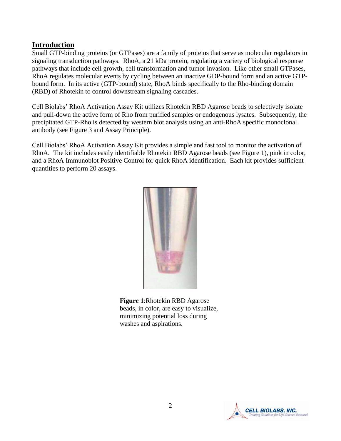# **Introduction**

Small GTP-binding proteins (or GTPases) are a family of proteins that serve as molecular regulators in signaling transduction pathways. RhoA, a 21 kDa protein, regulating a variety of biological response pathways that include cell growth, cell transformation and tumor invasion. Like other small GTPases, RhoA regulates molecular events by cycling between an inactive GDP-bound form and an active GTPbound form. In its active (GTP-bound) state, RhoA binds specifically to the Rho-binding domain (RBD) of Rhotekin to control downstream signaling cascades.

Cell Biolabs' RhoA Activation Assay Kit utilizes Rhotekin RBD Agarose beads to selectively isolate and pull-down the active form of Rho from purified samples or endogenous lysates. Subsequently, the precipitated GTP-Rho is detected by western blot analysis using an anti-RhoA specific monoclonal antibody (see Figure 3 and Assay Principle).

Cell Biolabs' RhoA Activation Assay Kit provides a simple and fast tool to monitor the activation of RhoA. The kit includes easily identifiable Rhotekin RBD Agarose beads (see Figure 1), pink in color, and a RhoA Immunoblot Positive Control for quick RhoA identification. Each kit provides sufficient quantities to perform 20 assays.



**Figure 1**:Rhotekin RBD Agarose beads, in color, are easy to visualize, minimizing potential loss during washes and aspirations.

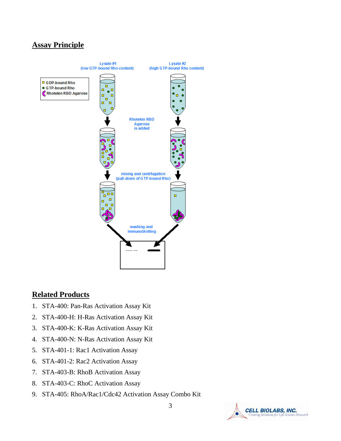# **Assay Principle**



## **Related Products**

- 1. STA-400: Pan-Ras Activation Assay Kit
- 2. STA-400-H: H-Ras Activation Assay Kit
- 3. STA-400-K: K-Ras Activation Assay Kit
- 4. STA-400-N: N-Ras Activation Assay Kit
- 5. STA-401-1: Rac1 Activation Assay
- 6. STA-401-2: Rac2 Activation Assay
- 7. STA-403-B: RhoB Activation Assay
- 8. STA-403-C: RhoC Activation Assay
- 9. STA-405: RhoA/Rac1/Cdc42 Activation Assay Combo Kit

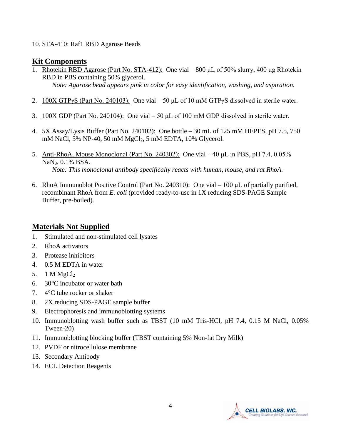#### 10. STA-410: Raf1 RBD Agarose Beads

## **Kit Components**

- 1. Rhotekin RBD Agarose (Part No. STA-412): One vial 800 μL of 50% slurry, 400 μg Rhotekin RBD in PBS containing 50% glycerol. *Note: Agarose bead appears pink in color for easy identification, washing, and aspiration.*
- 2.  $100X GTPyS$  (Part No. 240103): One vial 50 µL of 10 mM GTPyS dissolved in sterile water.
- 3.  $100X$  GDP (Part No. 240104): One vial 50  $\mu$ L of 100 mM GDP dissolved in sterile water.
- 4. 5X Assay/Lysis Buffer (Part No. 240102): One bottle 30 mL of 125 mM HEPES, pH 7.5, 750 mM NaCl, 5% NP-40, 50 mM MgCl2, 5 mM EDTA, 10% Glycerol.
- 5. Anti-RhoA, Mouse Monoclonal (Part No. 240302): One vial 40 µL in PBS, pH 7.4, 0.05% NaN3, 0.1% BSA. *Note: This monoclonal antibody specifically reacts with human, mouse, and rat RhoA.*
- 6. RhoA Immunoblot Positive Control (Part No. 240310): One vial 100 μL of partially purified, recombinant RhoA from *E. coli* (provided ready-to-use in 1X reducing SDS-PAGE Sample Buffer, pre-boiled).

# **Materials Not Supplied**

- 1. Stimulated and non-stimulated cell lysates
- 2. RhoA activators
- 3. Protease inhibitors
- 4. 0.5 M EDTA in water
- 5. 1 M  $MgCl<sub>2</sub>$
- 6. 30°C incubator or water bath
- 7. 4°C tube rocker or shaker
- 8. 2X reducing SDS-PAGE sample buffer
- 9. Electrophoresis and immunoblotting systems
- 10. Immunoblotting wash buffer such as TBST (10 mM Tris-HCl, pH 7.4, 0.15 M NaCl, 0.05% Tween-20)
- 11. Immunoblotting blocking buffer (TBST containing 5% Non-fat Dry Milk)
- 12. PVDF or nitrocellulose membrane
- 13. Secondary Antibody
- 14. ECL Detection Reagents

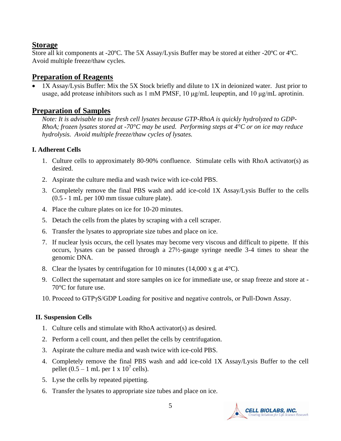# **Storage**

Store all kit components at -20ºC. The 5X Assay/Lysis Buffer may be stored at either -20ºC or 4ºC. Avoid multiple freeze/thaw cycles.

# **Preparation of Reagents**

• 1X Assay/Lysis Buffer: Mix the 5X Stock briefly and dilute to 1X in deionized water. Just prior to usage, add protease inhibitors such as 1 mM PMSF, 10 μg/mL leupeptin, and 10 μg/mL aprotinin.

# **Preparation of Samples**

*Note: It is advisable to use fresh cell lysates because GTP-RhoA is quickly hydrolyzed to GDP-RhoA; frozen lysates stored at -70°C may be used. Performing steps at 4°C or on ice may reduce hydrolysis. Avoid multiple freeze/thaw cycles of lysates.* 

### **I. Adherent Cells**

- 1. Culture cells to approximately 80-90% confluence. Stimulate cells with RhoA activator(s) as desired.
- 2. Aspirate the culture media and wash twice with ice-cold PBS.
- 3. Completely remove the final PBS wash and add ice-cold 1X Assay/Lysis Buffer to the cells (0.5 - 1 mL per 100 mm tissue culture plate).
- 4. Place the culture plates on ice for 10-20 minutes.
- 5. Detach the cells from the plates by scraping with a cell scraper.
- 6. Transfer the lysates to appropriate size tubes and place on ice.
- 7. If nuclear lysis occurs, the cell lysates may become very viscous and difficult to pipette. If this occurs, lysates can be passed through a 27½-gauge syringe needle 3-4 times to shear the genomic DNA.
- 8. Clear the lysates by centrifugation for 10 minutes  $(14,000 \times g)$  at 4<sup>o</sup>C).
- 9. Collect the supernatant and store samples on ice for immediate use, or snap freeze and store at 70°C for future use.
- 10. Proceed to GTPγS/GDP Loading for positive and negative controls, or Pull-Down Assay.

### **II. Suspension Cells**

- 1. Culture cells and stimulate with RhoA activator(s) as desired.
- 2. Perform a cell count, and then pellet the cells by centrifugation.
- 3. Aspirate the culture media and wash twice with ice-cold PBS.
- 4. Completely remove the final PBS wash and add ice-cold 1X Assay/Lysis Buffer to the cell pellet  $(0.5 - 1$  mL per 1 x  $10^7$  cells).
- 5. Lyse the cells by repeated pipetting.
- 6. Transfer the lysates to appropriate size tubes and place on ice.

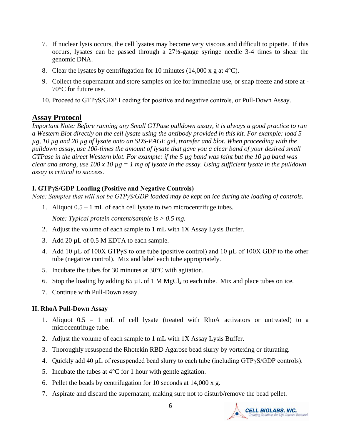- 7. If nuclear lysis occurs, the cell lysates may become very viscous and difficult to pipette. If this occurs, lysates can be passed through a 27½-gauge syringe needle 3-4 times to shear the genomic DNA.
- 8. Clear the lysates by centrifugation for 10 minutes (14,000 x g at  $4^{\circ}$ C).
- 9. Collect the supernatant and store samples on ice for immediate use, or snap freeze and store at 70°C for future use.
- 10. Proceed to GTPγS/GDP Loading for positive and negative controls, or Pull-Down Assay.

### **Assay Protocol**

*Important Note: Before running any Small GTPase pulldown assay, it is always a good practice to run a Western Blot directly on the cell lysate using the antibody provided in this kit. For example: load 5 µg, 10 µg and 20 µg of lysate onto an SDS-PAGE gel, transfer and blot. When proceeding with the pulldown assay, use 100-times the amount of lysate that gave you a clear band of your desired small GTPase in the direct Western blot. For example: if the 5 µg band was faint but the 10 µg band was clear and strong, use 100 x 10 µg = 1 mg of lysate in the assay. Using sufficient lysate in the pulldown assay is critical to success.*

#### **I. GTPγS/GDP Loading (Positive and Negative Controls)**

*Note: Samples that will not be GTPγS/GDP loaded may be kept on ice during the loading of controls.*

1. Aliquot 0.5 – 1 mL of each cell lysate to two microcentrifuge tubes.

*Note: Typical protein content/sample is > 0.5 mg.* 

- 2. Adjust the volume of each sample to 1 mL with 1X Assay Lysis Buffer.
- 3. Add 20 µL of 0.5 M EDTA to each sample.
- 4. Add 10 µL of 100X GTPγS to one tube (positive control) and 10 µL of 100X GDP to the other tube (negative control). Mix and label each tube appropriately.
- 5. Incubate the tubes for 30 minutes at 30°C with agitation.
- 6. Stop the loading by adding 65  $\mu$ L of 1 M MgCl<sub>2</sub> to each tube. Mix and place tubes on ice.
- 7. Continue with Pull-Down assay.

#### **II. RhoA Pull-Down Assay**

- 1. Aliquot 0.5 1 mL of cell lysate (treated with RhoA activators or untreated) to a microcentrifuge tube.
- 2. Adjust the volume of each sample to 1 mL with 1X Assay Lysis Buffer.
- 3. Thoroughly resuspend the Rhotekin RBD Agarose bead slurry by vortexing or titurating.
- 4. Quickly add 40 µL of resuspended bead slurry to each tube (including GTPγS/GDP controls).
- 5. Incubate the tubes at  $4^{\circ}$ C for 1 hour with gentle agitation.
- 6. Pellet the beads by centrifugation for 10 seconds at 14,000 x g.
- 7. Aspirate and discard the supernatant, making sure not to disturb/remove the bead pellet.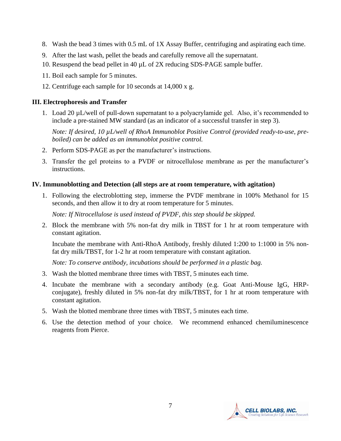- 8. Wash the bead 3 times with 0.5 mL of 1X Assay Buffer, centrifuging and aspirating each time.
- 9. After the last wash, pellet the beads and carefully remove all the supernatant.
- 10. Resuspend the bead pellet in 40 µL of 2X reducing SDS-PAGE sample buffer.
- 11. Boil each sample for 5 minutes.
- 12. Centrifuge each sample for 10 seconds at 14,000 x g.

#### **III. Electrophoresis and Transfer**

1. Load 20 µL/well of pull-down supernatant to a polyacrylamide gel. Also, it's recommended to include a pre-stained MW standard (as an indicator of a successful transfer in step 3).

*Note: If desired, 10 µL/well of RhoA Immunoblot Positive Control (provided ready-to-use, preboiled) can be added as an immunoblot positive control.* 

- 2. Perform SDS-PAGE as per the manufacturer's instructions.
- 3. Transfer the gel proteins to a PVDF or nitrocellulose membrane as per the manufacturer's instructions.

#### **IV. Immunoblotting and Detection (all steps are at room temperature, with agitation)**

1. Following the electroblotting step, immerse the PVDF membrane in 100% Methanol for 15 seconds, and then allow it to dry at room temperature for 5 minutes.

*Note: If Nitrocellulose is used instead of PVDF, this step should be skipped.*

2. Block the membrane with 5% non-fat dry milk in TBST for 1 hr at room temperature with constant agitation.

Incubate the membrane with Anti-RhoA Antibody, freshly diluted 1:200 to 1:1000 in 5% nonfat dry milk/TBST, for 1-2 hr at room temperature with constant agitation.

*Note: To conserve antibody, incubations should be performed in a plastic bag.*

- 3. Wash the blotted membrane three times with TBST, 5 minutes each time.
- 4. Incubate the membrane with a secondary antibody (e.g. Goat Anti-Mouse IgG, HRPconjugate), freshly diluted in 5% non-fat dry milk/TBST, for 1 hr at room temperature with constant agitation.
- 5. Wash the blotted membrane three times with TBST, 5 minutes each time.
- 6. Use the detection method of your choice. We recommend enhanced chemiluminescence reagents from Pierce.

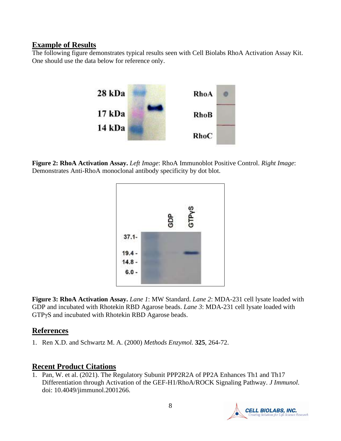#### **Example of Results**

The following figure demonstrates typical results seen with Cell Biolabs RhoA Activation Assay Kit. One should use the data below for reference only.



**Figure 2: RhoA Activation Assay.** *Left Image*: RhoA Immunoblot Positive Control. *Right Image*: Demonstrates Anti-RhoA monoclonal antibody specificity by dot blot.



**Figure 3: RhoA Activation Assay.** *Lane 1*: MW Standard. *Lane 2*: MDA-231 cell lysate loaded with GDP and incubated with Rhotekin RBD Agarose beads. *Lane 3*: MDA-231 cell lysate loaded with GTPγS and incubated with Rhotekin RBD Agarose beads.

# **References**

1. Ren X.D. and Schwartz M. A. (2000) *[Methods Enzymol.](javascript:AL_get(this,%20)* **325**, 264-72.

## **Recent Product Citations**

1. Pan, W. et al. (2021). The Regulatory Subunit PPP2R2A of PP2A Enhances Th1 and Th17 Differentiation through Activation of the GEF-H1/RhoA/ROCK Signaling Pathway. *J Immunol*. doi: 10.4049/jimmunol.2001266.

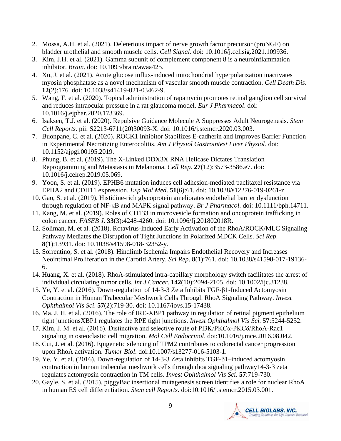- 2. Mossa, A.H. et al. (2021). Deleterious impact of nerve growth factor precursor (proNGF) on bladder urothelial and smooth muscle cells. *Cell Signal*. doi: 10.1016/j.cellsig.2021.109936.
- 3. Kim, J.H. et al. (2021). Gamma subunit of complement component 8 is a neuroinflammation inhibitor. *Brain*. doi: 10.1093/brain/awaa425.
- 4. Xu, J. et al. (2021). Acute glucose influx-induced mitochondrial hyperpolarization inactivates myosin phosphatase as a novel mechanism of vascular smooth muscle contraction. *Cell Death Dis*. **12**(2):176. doi: 10.1038/s41419-021-03462-9.
- 5. Wang, F. et al. (2020). Topical administration of rapamycin promotes retinal ganglion cell survival and reduces intraocular pressure in a rat glaucoma model. *Eur J Pharmacol*. doi: 10.1016/j.ejphar.2020.173369.
- 6. Isaksen, T.J. et al. (2020). Repulsive Guidance Molecule A Suppresses Adult Neurogenesis. *Stem Cell Reports*. pii: S2213-6711(20)30093-X. doi: 10.1016/j.stemcr.2020.03.003.
- 7. Buonpane, C. et al. (2020). ROCK1 Inhibitor Stabilizes E-cadherin and Improves Barrier Function in Experimental Necrotizing Enterocolitis. *Am J Physiol Gastrointest Liver Physiol*. doi: 10.1152/ajpgi.00195.2019.
- 8. Phung, B. et al. (2019). The X-Linked DDX3X RNA Helicase Dictates Translation Reprogramming and Metastasis in Melanoma. *Cell Rep*. **27**(12):3573-3586.e7. doi: 10.1016/j.celrep.2019.05.069.
- 9. Yoon, S. et al. (2019). EPHB6 mutation induces cell adhesion-mediated paclitaxel resistance via EPHA2 and CDH11 expression. *Exp Mol Med*. **51**(6):61. doi: 10.1038/s12276-019-0261-z.
- 10. Gao, S. et al. (2019). Histidine-rich glycoprotein ameliorates endothelial barrier dysfunction through regulation of NF-κB and MAPK signal pathway. *Br J Pharmacol*. doi: 10.1111/bph.14711.
- 11. Kang, M. et al. (2019). Roles of CD133 in microvesicle formation and oncoprotein trafficking in colon cancer. *FASEB J*. **33**(3):4248-4260. doi: 10.1096/fj.201802018R.
- 12. Soliman, M. et al. (2018). Rotavirus-Induced Early Activation of the RhoA/ROCK/MLC Signaling Pathway Mediates the Disruption of Tight Junctions in Polarized MDCK Cells. *Sci Rep*. **8**(1):13931. doi: 10.1038/s41598-018-32352-y.
- 13. Sorrentino, S. et al. (2018). Hindlimb Ischemia Impairs Endothelial Recovery and Increases Neointimal Proliferation in the Carotid Artery. *Sci Rep*. **8**(1):761. doi: 10.1038/s41598-017-19136- 6.
- 14. Huang, X. et al. (2018). RhoA-stimulated intra-capillary morphology switch facilitates the arrest of individual circulating tumor cells. *Int J Cancer*. **142**(10):2094-2105. doi: 10.1002/ijc.31238.
- 15. Ye, Y. et al. (2016). Down-regulation of 14-3-3 Zeta Inhibits TGF-β1-Induced Actomyosin Contraction in Human Trabecular Meshwork Cells Through RhoA Signaling Pathway. *Invest Ophthalmol Vis Sci*. **57**(2):719-30. doi: 10.1167/iovs.15-17438.
- 16. Ma, J. H. et al. (2016). The role of IRE-XBP1 pathway in regulation of retinal pigment epithelium tight junctionsXBP1 regulates the RPE tight junctions. *Invest Ophthalmol Vis Sci.* **57**:5244-5252.
- 17. Kim, J. M. et al. (2016). Distinctive and selective route of PI3K/PKCα-PKCδ/RhoA-Rac1 signaling in osteoclastic cell migration. *Mol Cell Endocrinol*. doi:10.1016/j.mce.2016.08.042.
- 18. Cui, J. et al. (2016). Epigenetic silencing of TPM2 contributes to colorectal cancer progression upon RhoA activation. *Tumor Biol*. doi:10.1007/s13277-016-5103-1.
- 19. Ye, Y. et al. (2016). Down-regulation of 14-3-3 Zeta inhibits TGF-β1–induced actomyosin contraction in human trabecular meshwork cells through rhoa signaling pathway14-3-3 zeta regulates actomyosin contraction in TM cells. *Invest Ophthalmol Vis Sci.* **57**:719-730.
- 20. Gayle, S. et al. (2015). piggyBac insertional mutagenesis screen identifies a role for nuclear RhoA in human ES cell differentiation. *Stem cell Reports.* doi:10.1016/j.stemcr.2015.03.001.